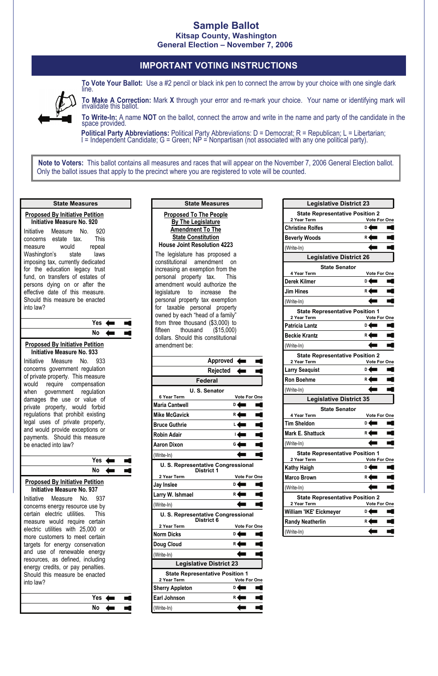## **Sample Ballot Kitsap County, Washington General Election – November 7, 2006**

## **IMPORTANT VOTING INSTRUCTIONS**



**To Vote Your Ballot:** Use a #2 pencil or black ink pen to connect the arrow by your choice with one single dark line.

**To Make A Correction:** Mark **X** through your error and re-mark your choice. Your name or identifying mark will invalidate this ballot.

**To Write-In:** A name **NOT** on the ballot, connect the arrow and write in the name and party of the candidate in the space provided.

**Political Party Abbreviations:** Political Party Abbreviations: D = Democrat; R = Republican; L = Libertarian; I = Independent Candidate; G = Green; NP = Nonpartisan (not associated with any one political party).

 Only the ballot issues that apply to the precinct where you are registered to vote will be counted. **Note to Voters:** This ballot contains all measures and races that will appear on the November 7, 2006 General Election ballot.

**Yes** n 1 **No**  $\leftarrow$  $\blacksquare$ 

| <b>Proposed By Initiative Petition</b><br><b>Initiative Measure No. 920</b><br>Initiative Measure No. 920<br>This<br>concerns estate tax.<br>would repeal<br>measure<br>Washington's state<br>laws<br>imposing tax, currently dedicated<br>for the education legacy trust<br>fund, on transfers of estates of<br>persons dying on or after the<br>effective date of this measure.<br>Should this measure be enacted<br>into law?<br>Yes<br><b>No</b><br><b>Proposed By Initiative Petition</b><br><b>Initiative Measure No. 933</b><br>Initiative Measure No.<br>933<br>concerns government regulation<br>of private property. This measure<br>require compensation<br>would<br>government regulation<br>when<br>damages the use or value of<br>private property, would forbid<br>regulations that prohibit existing<br>legal uses of private property,<br>and would provide exceptions or<br>payments. Should this measure<br>be enacted into law?<br>Yes<br>No | <b>State Measures</b>                  |  |
|------------------------------------------------------------------------------------------------------------------------------------------------------------------------------------------------------------------------------------------------------------------------------------------------------------------------------------------------------------------------------------------------------------------------------------------------------------------------------------------------------------------------------------------------------------------------------------------------------------------------------------------------------------------------------------------------------------------------------------------------------------------------------------------------------------------------------------------------------------------------------------------------------------------------------------------------------------------|----------------------------------------|--|
|                                                                                                                                                                                                                                                                                                                                                                                                                                                                                                                                                                                                                                                                                                                                                                                                                                                                                                                                                                  |                                        |  |
|                                                                                                                                                                                                                                                                                                                                                                                                                                                                                                                                                                                                                                                                                                                                                                                                                                                                                                                                                                  |                                        |  |
|                                                                                                                                                                                                                                                                                                                                                                                                                                                                                                                                                                                                                                                                                                                                                                                                                                                                                                                                                                  |                                        |  |
|                                                                                                                                                                                                                                                                                                                                                                                                                                                                                                                                                                                                                                                                                                                                                                                                                                                                                                                                                                  |                                        |  |
|                                                                                                                                                                                                                                                                                                                                                                                                                                                                                                                                                                                                                                                                                                                                                                                                                                                                                                                                                                  | <b>Proposed By Initiative Petition</b> |  |

**Initiative Measure No. 937** 

Initiative Measure No. 937 concerns energy resource use by certain electric utilities. This measure would require certain electric utilities with 25,000 or more customers to meet certain targets for energy conservation and use of renewable energy resources, as defined, including energy credits, or pay penalties. Should this measure be enacted into law?

| <b>Proposed To The People</b><br><b>By The Legislature</b><br><b>Amendment To The</b><br><b>State Constitution</b><br><b>House Joint Resolution 4223</b><br>The legislature has proposed a<br>constitutional amendment<br>increasing an exemption from the<br>personal property tax.<br>amendment would authorize the<br>legislature to increase<br>personal property tax exemption<br>for taxable personal property<br>owned by each "head of a family"<br>from three thousand (\$3,000) to<br>thousand<br>fifteen<br>dollars. Should this constitutional<br>amendment be: | - on<br>This<br>the<br>(\$15,000) |  |
|-----------------------------------------------------------------------------------------------------------------------------------------------------------------------------------------------------------------------------------------------------------------------------------------------------------------------------------------------------------------------------------------------------------------------------------------------------------------------------------------------------------------------------------------------------------------------------|-----------------------------------|--|
| <b>Approved</b>                                                                                                                                                                                                                                                                                                                                                                                                                                                                                                                                                             |                                   |  |
| Rejected                                                                                                                                                                                                                                                                                                                                                                                                                                                                                                                                                                    |                                   |  |
| <b>Federal</b>                                                                                                                                                                                                                                                                                                                                                                                                                                                                                                                                                              |                                   |  |
| U. S. Senator                                                                                                                                                                                                                                                                                                                                                                                                                                                                                                                                                               |                                   |  |
| <b>6 Year Term</b><br><b>Maria Cantwell</b>                                                                                                                                                                                                                                                                                                                                                                                                                                                                                                                                 | <b>Vote For One</b><br>D <        |  |
| <b>Mike McGavick</b>                                                                                                                                                                                                                                                                                                                                                                                                                                                                                                                                                        | R۰                                |  |
| <b>Bruce Guthrie</b>                                                                                                                                                                                                                                                                                                                                                                                                                                                                                                                                                        | Ŀ                                 |  |
| <b>Robin Adair</b>                                                                                                                                                                                                                                                                                                                                                                                                                                                                                                                                                          | Ь                                 |  |
| <b>Aaron Dixon</b>                                                                                                                                                                                                                                                                                                                                                                                                                                                                                                                                                          | G.                                |  |
|                                                                                                                                                                                                                                                                                                                                                                                                                                                                                                                                                                             |                                   |  |
| (Write-In)                                                                                                                                                                                                                                                                                                                                                                                                                                                                                                                                                                  |                                   |  |
| U. S. Representative Congressional<br><b>District 1</b>                                                                                                                                                                                                                                                                                                                                                                                                                                                                                                                     |                                   |  |
| 2 Year Term                                                                                                                                                                                                                                                                                                                                                                                                                                                                                                                                                                 | <b>Vote For One</b>               |  |
| <b>Jay Inslee</b>                                                                                                                                                                                                                                                                                                                                                                                                                                                                                                                                                           | $D \leftarrow$                    |  |

**State Measures**

| Larry W. Ishmael                                        | R                   |
|---------------------------------------------------------|---------------------|
| (Write-In)                                              |                     |
| U. S. Representative Congressional<br><b>District 6</b> |                     |
| 2 Year Term                                             | <b>Vote For One</b> |
| <b>Norm Dicks</b>                                       | D                   |
| Doug Cloud                                              | R                   |
| (Write-In)                                              |                     |
| <b>Legislative District 23</b>                          |                     |
| <b>State Representative Position 1</b>                  |                     |
| 2 Year Term                                             | <b>Vote For One</b> |
| <b>Sherry Appleton</b>                                  | D                   |
| <b>Earl Johnson</b>                                     | R                   |
|                                                         |                     |

| <b>Legislative District 23</b>                        |                           |
|-------------------------------------------------------|---------------------------|
| <b>State Representative Position 2</b>                |                           |
| 2 Year Term                                           | <b>Vote For One</b>       |
| <b>Christine Rolfes</b>                               | D                         |
| <b>Beverly Woods</b>                                  | R۰                        |
| (Write-In)                                            |                           |
| <b>Legislative District 26</b>                        |                           |
| <b>State Senator</b><br>4 Year Term                   | Vote For One              |
| Derek Kilmer                                          | D                         |
| <b>Jim Hines</b>                                      | R                         |
| (Write-In)                                            |                           |
| <b>State Representative Position 1</b>                |                           |
| 2 Year Term                                           | <b>Vote For One</b>       |
| <b>Patricia Lantz</b>                                 | D                         |
| <b>Beckie Krantz</b>                                  | R۰                        |
| (Write-In)                                            |                           |
| <b>State Representative Position 2</b>                |                           |
| 2 Year Term<br><b>Larry Seaquist</b>                  | <b>Vote For One</b><br>D۰ |
| <b>Ron Boehme</b>                                     | R                         |
| (Write-In)                                            |                           |
| <b>Legislative District 35</b>                        |                           |
| <b>State Senator</b>                                  |                           |
| 4 Year Term                                           | Vote For One              |
| <b>Tim Sheldon</b>                                    | D۰                        |
| <b>Mark E. Shattuck</b>                               | R۰                        |
| (Write-In)                                            |                           |
| State Representative Position 1<br>2 Year Term        | <b>Vote For One</b>       |
| Kathy Haigh                                           | D                         |
| <b>Marco Brown</b>                                    | R                         |
| (Write-In)                                            |                           |
| <b>State Representative Position 2</b><br>2 Year Term | <b>Vote For One</b>       |
| William 'IKE' Eickmeyer                               | D                         |
| <b>Randy Neatherlin</b>                               | R.                        |
| (Write-In)                                            |                           |